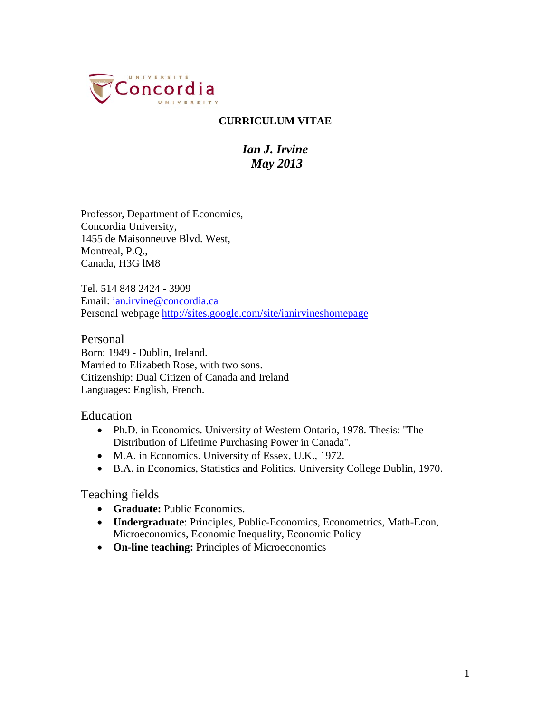

### **CURRICULUM VITAE**

# *Ian J. Irvine May 2013*

Professor, Department of Economics, Concordia University, 1455 de Maisonneuve Blvd. West, Montreal, P.Q., Canada, H3G lM8

Tel. 514 848 2424 - 3909 Email: [ian.irvine@concordia.ca](mailto:ian.irvine@concordia.ca) Personal webpage<http://sites.google.com/site/ianirvineshomepage>

Personal Born: 1949 - Dublin, Ireland. Married to Elizabeth Rose, with two sons. Citizenship: Dual Citizen of Canada and Ireland Languages: English, French.

Education

- Ph.D. in Economics. University of Western Ontario, 1978. Thesis: ''The Distribution of Lifetime Purchasing Power in Canada''.
- M.A. in Economics. University of Essex, U.K., 1972.
- B.A. in Economics, Statistics and Politics. University College Dublin, 1970.

Teaching fields

- **Graduate:** Public Economics.
- **Undergraduate**: Principles, Public-Economics, Econometrics, Math-Econ, Microeconomics, Economic Inequality, Economic Policy
- **On-line teaching:** Principles of Microeconomics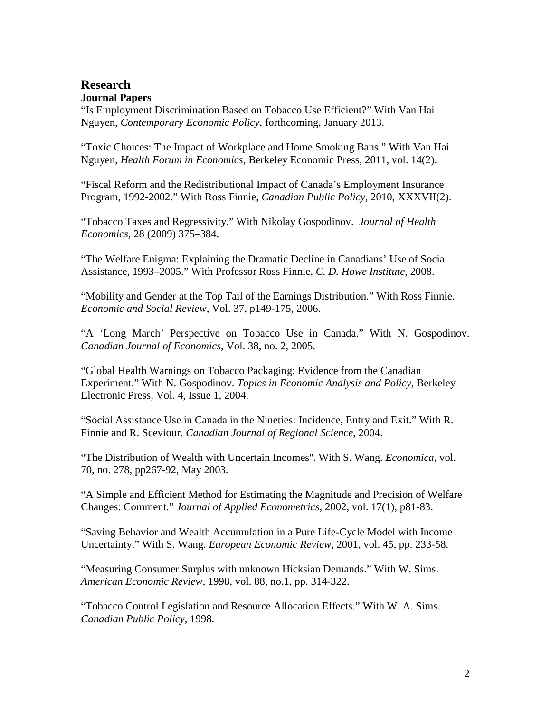### **Research Journal Papers**

"Is Employment Discrimination Based on Tobacco Use Efficient?" With Van Hai Nguyen, *Contemporary Economic Policy*, forthcoming, January 2013.

"Toxic Choices: The Impact of Workplace and Home Smoking Bans." With Van Hai Nguyen, *Health Forum in Economics*, Berkeley Economic Press, 2011, vol. 14(2).

"Fiscal Reform and the Redistributional Impact of Canada's Employment Insurance Program, 1992-2002." With Ross Finnie, *Canadian Public Policy*, 2010, XXXVII(2).

"Tobacco Taxes and Regressivity." With Nikolay Gospodinov. *Journal of Health Economics*, 28 (2009) 375–384.

"The Welfare Enigma: Explaining the Dramatic Decline in Canadians' Use of Social Assistance, 1993–2005." With Professor Ross Finnie, *C. D. Howe Institute*, 2008.

"Mobility and Gender at the Top Tail of the Earnings Distribution." With Ross Finnie. *Economic and Social Review*, Vol. 37, p149-175, 2006.

"A 'Long March' Perspective on Tobacco Use in Canada." With N. Gospodinov. *Canadian Journal of Economics*, Vol. 38, no. 2, 2005.

"Global Health Warnings on Tobacco Packaging: Evidence from the Canadian Experiment." With N. Gospodinov. *Topics in Economic Analysis and Policy*, Berkeley Electronic Press, Vol. 4, Issue 1, 2004.

"Social Assistance Use in Canada in the Nineties: Incidence, Entry and Exit." With R. Finnie and R. Sceviour. *Canadian Journal of Regional Science*, 2004.

"The Distribution of Wealth with Uncertain Incomes''. With S. Wang. *Economica*, vol. 70, no. 278, pp267-92, May 2003.

"A Simple and Efficient Method for Estimating the Magnitude and Precision of Welfare Changes: Comment." *Journal of Applied Econometrics*, 2002, vol. 17(1), p81-83.

"Saving Behavior and Wealth Accumulation in a Pure Life-Cycle Model with Income Uncertainty." With S. Wang. *European Economic Review,* 2001, vol. 45, pp. 233-58.

"Measuring Consumer Surplus with unknown Hicksian Demands." With W. Sims. *American Economic Review*, 1998, vol. 88, no.1, pp. 314-322.

"Tobacco Control Legislation and Resource Allocation Effects." With W. A. Sims. *Canadian Public Policy*, 1998.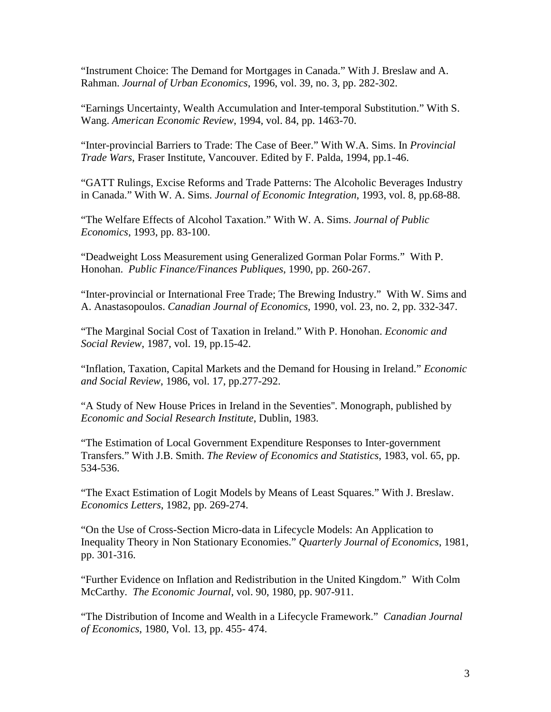"Instrument Choice: The Demand for Mortgages in Canada." With J. Breslaw and A. Rahman. *Journal of Urban Economics*, 1996, vol. 39, no. 3, pp. 282-302.

"Earnings Uncertainty, Wealth Accumulation and Inter-temporal Substitution." With S. Wang. *American Economic Review*, 1994, vol. 84, pp. 1463-70.

"Inter-provincial Barriers to Trade: The Case of Beer." With W.A. Sims. In *Provincial Trade Wars*, Fraser Institute, Vancouver. Edited by F. Palda, 1994, pp.1-46.

"GATT Rulings, Excise Reforms and Trade Patterns: The Alcoholic Beverages Industry in Canada." With W. A. Sims. *Journal of Economic Integration*, 1993, vol. 8, pp.68-88.

"The Welfare Effects of Alcohol Taxation." With W. A. Sims. *Journal of Public Economics*, 1993, pp. 83-100.

"Deadweight Loss Measurement using Generalized Gorman Polar Forms." With P. Honohan. *Public Finance/Finances Publiques*, 1990, pp. 260-267.

"Inter-provincial or International Free Trade; The Brewing Industry." With W. Sims and A. Anastasopoulos. *Canadian Journal of Economics*, 1990, vol. 23, no. 2, pp. 332-347.

"The Marginal Social Cost of Taxation in Ireland." With P. Honohan. *Economic and Social Review*, 1987, vol. 19, pp.15-42.

"Inflation, Taxation, Capital Markets and the Demand for Housing in Ireland." *Economic and Social Review*, 1986, vol. 17, pp.277-292.

"A Study of New House Prices in Ireland in the Seventies''. Monograph, published by *Economic and Social Research Institute*, Dublin, 1983.

"The Estimation of Local Government Expenditure Responses to Inter-government Transfers." With J.B. Smith. *The Review of Economics and Statistics*, 1983, vol. 65, pp. 534-536.

"The Exact Estimation of Logit Models by Means of Least Squares." With J. Breslaw. *Economics Letters*, 1982, pp. 269-274.

"On the Use of Cross-Section Micro-data in Lifecycle Models: An Application to Inequality Theory in Non Stationary Economies." *Quarterly Journal of Economics*, 1981, pp. 301-316.

"Further Evidence on Inflation and Redistribution in the United Kingdom." With Colm McCarthy. *The Economic Journal*, vol. 90, 1980, pp. 907-911.

"The Distribution of Income and Wealth in a Lifecycle Framework." *Canadian Journal of Economics*, 1980, Vol. 13, pp. 455- 474.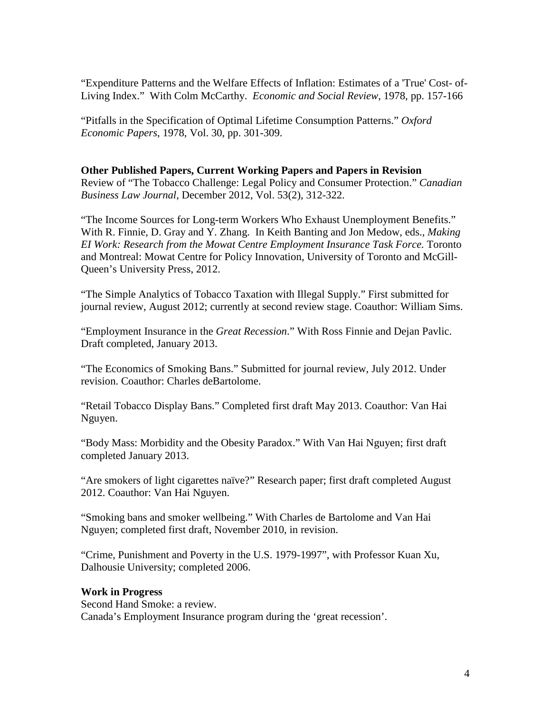"Expenditure Patterns and the Welfare Effects of Inflation: Estimates of a 'True' Cost- of-Living Index." With Colm McCarthy. *Economic and Social Review*, 1978, pp. 157-166

"Pitfalls in the Specification of Optimal Lifetime Consumption Patterns." *Oxford Economic Papers*, 1978, Vol. 30, pp. 301-309.

#### **Other Published Papers, Current Working Papers and Papers in Revision**

Review of "The Tobacco Challenge: Legal Policy and Consumer Protection." *Canadian Business Law Journal*, December 2012, Vol. 53(2), 312-322.

"The Income Sources for Long-term Workers Who Exhaust Unemployment Benefits." With R. Finnie, D. Gray and Y. Zhang. In Keith Banting and Jon Medow, eds., *Making EI Work: Research from the Mowat Centre Employment Insurance Task Force.* Toronto and Montreal: Mowat Centre for Policy Innovation, University of Toronto and McGill-Queen's University Press, 2012.

"The Simple Analytics of Tobacco Taxation with Illegal Supply." First submitted for journal review, August 2012; currently at second review stage. Coauthor: William Sims.

"Employment Insurance in the *Great Recession*." With Ross Finnie and Dejan Pavlic. Draft completed, January 2013.

"The Economics of Smoking Bans." Submitted for journal review, July 2012. Under revision. Coauthor: Charles deBartolome.

"Retail Tobacco Display Bans." Completed first draft May 2013. Coauthor: Van Hai Nguyen.

"Body Mass: Morbidity and the Obesity Paradox." With Van Hai Nguyen; first draft completed January 2013.

"Are smokers of light cigarettes naïve?" Research paper; first draft completed August 2012. Coauthor: Van Hai Nguyen.

"Smoking bans and smoker wellbeing." With Charles de Bartolome and Van Hai Nguyen; completed first draft, November 2010, in revision.

"Crime, Punishment and Poverty in the U.S. 1979-1997", with Professor Kuan Xu, Dalhousie University; completed 2006.

#### **Work in Progress**

Second Hand Smoke: a review. Canada's Employment Insurance program during the 'great recession'.